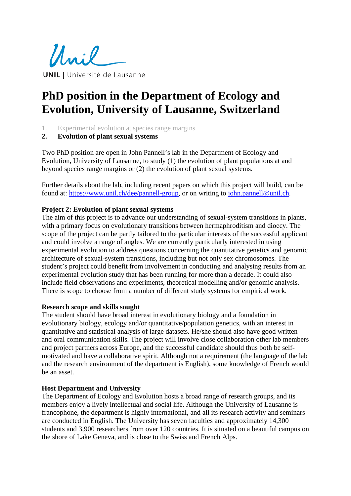Unil **UNIL** | Université de Lausanne

# **PhD position in the Department of Ecology and Evolution, University of Lausanne, Switzerland**

- 1. Experimental evolution at species range margins
- **2. Evolution of plant sexual systems**

Two PhD position are open in John Pannell's lab in the Department of Ecology and Evolution, University of Lausanne, to study (1) the evolution of plant populations at and beyond species range margins or (2) the evolution of plant sexual systems.

Further details about the lab, including recent papers on which this project will build, can be found at: [https://www.unil.ch/dee/pannell-group,](https://www.unil.ch/dee/pannell-group) or on writing to [john.pannell@unil.ch.](mailto:john.pannell@unil.ch)

## **Project 2: Evolution of plant sexual systems**

The aim of this project is to advance our understanding of sexual-system transitions in plants, with a primary focus on evolutionary transitions between hermaphroditism and dioecy. The scope of the project can be partly tailored to the particular interests of the successful applicant and could involve a range of angles. We are currently particularly interested in using experimental evolution to address questions concerning the quantitative genetics and genomic architecture of sexual-system transitions, including but not only sex chromosomes. The student's project could benefit from involvement in conducting and analysing results from an experimental evolution study that has been running for more than a decade. It could also include field observations and experiments, theoretical modelling and/or genomic analysis. There is scope to choose from a number of different study systems for empirical work.

#### **Research scope and skills sought**

The student should have broad interest in evolutionary biology and a foundation in evolutionary biology, ecology and/or quantitative/population genetics, with an interest in quantitative and statistical analysis of large datasets. He/she should also have good written and oral communication skills. The project will involve close collaboration other lab members and project partners across Europe, and the successful candidate should thus both be selfmotivated and have a collaborative spirit. Although not a requirement (the language of the lab and the research environment of the department is English), some knowledge of French would be an asset.

#### **Host Department and University**

The Department of Ecology and Evolution hosts a broad range of research groups, and its members enjoy a lively intellectual and social life. Although the University of Lausanne is francophone, the department is highly international, and all its research activity and seminars are conducted in English. The University has seven faculties and approximately 14,300 students and 3,900 researchers from over 120 countries. It is situated on a beautiful campus on the shore of Lake Geneva, and is close to the Swiss and French Alps.